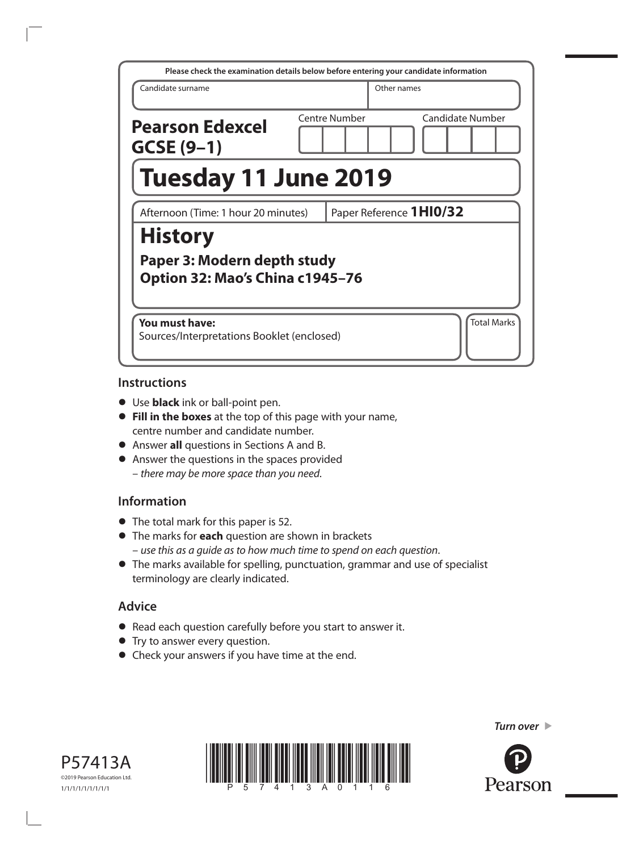|                                                                | Please check the examination details below before entering your candidate information |
|----------------------------------------------------------------|---------------------------------------------------------------------------------------|
| Candidate surname                                              | Other names                                                                           |
| <b>Pearson Edexcel</b><br>$GCSE(9-1)$                          | Centre Number<br>Candidate Number                                                     |
| <b>Tuesday 11 June 2019</b>                                    |                                                                                       |
| Afternoon (Time: 1 hour 20 minutes)                            | Paper Reference 1H10/32                                                               |
| <b>History</b>                                                 |                                                                                       |
| Paper 3: Modern depth study<br>Option 32: Mao's China c1945-76 |                                                                                       |
| You must have:<br>Sources/Interpretations Booklet (enclosed)   | <b>Total Marks</b>                                                                    |

# **Instructions**

- **•** Use **black** ink or ball-point pen.
- **• Fill in the boxes** at the top of this page with your name, centre number and candidate number.
- **•** Answer **all** questions in Sections A and B.
- **•** Answer the questions in the spaces provided – *there may be more space than you need*.

# **Information**

- **•** The total mark for this paper is 52.
- **•** The marks for **each** question are shown in brackets – *use this as a guide as to how much time to spend on each question*.
- **•** The marks available for spelling, punctuation, grammar and use of specialist terminology are clearly indicated.

# **Advice**

- **•** Read each question carefully before you start to answer it.
- **•** Try to answer every question.
- **•** Check your answers if you have time at the end.





*Turn over* 

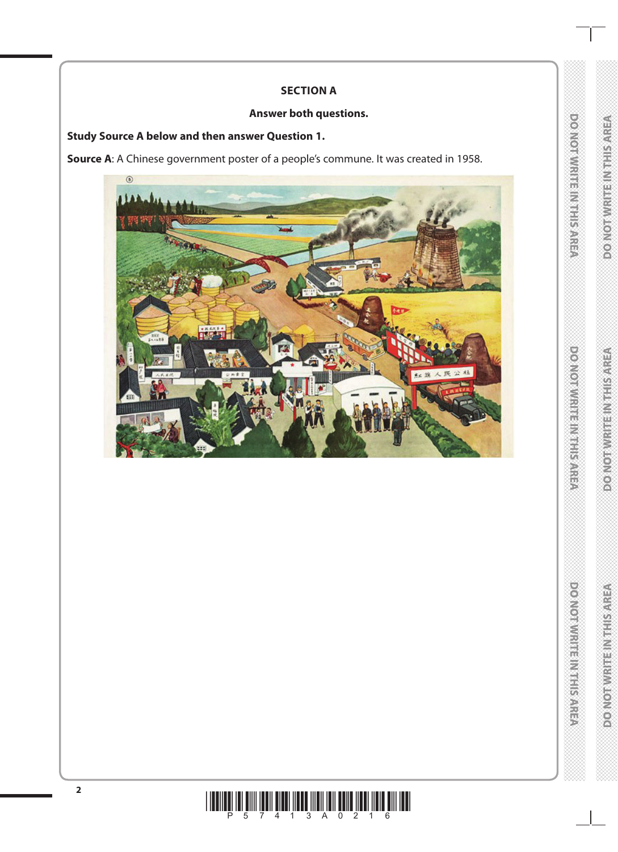**DONOTWRITEINITISAREA** 

**DOMOTIVES IN THE MARKET SAMPLE** 

**DOOMOODWARE MARKETING** 

# **DOMOTIVISTEINTHIS AREA**

**DOMOTIVIRE IN ELISARED** 

# **SECTION A**

# **Answer both questions.**

**Study Source A below and then answer Question 1.**

**Source A**: A Chinese government poster of a people's commune. It was created in 1958.



# \*P57413A0216\* **<sup>2</sup>**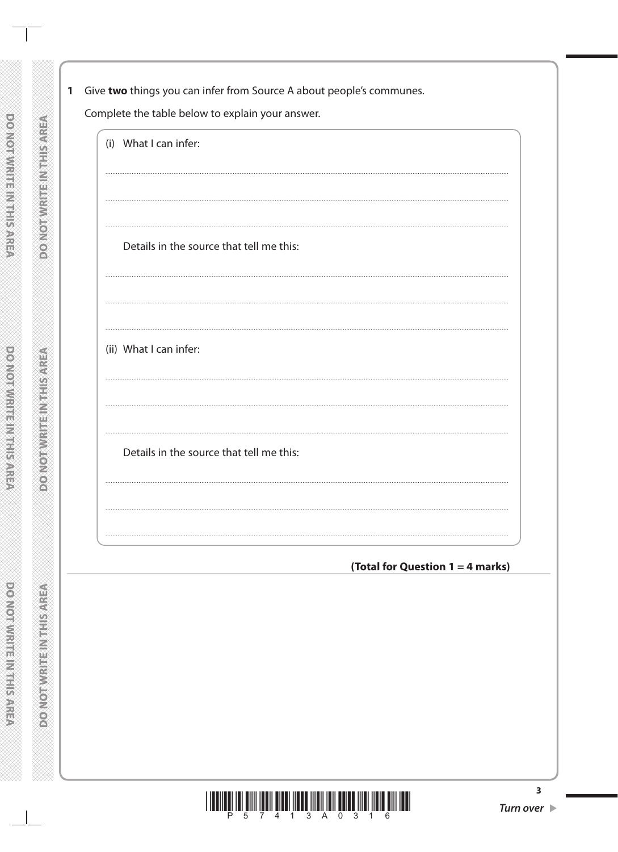|  |  | 1 Give two things you can infer from Source A about people's communes. |  |  |  |  |  |
|--|--|------------------------------------------------------------------------|--|--|--|--|--|
|--|--|------------------------------------------------------------------------|--|--|--|--|--|

Complete the table below to explain your answer.

| Details in the source that tell me this: |  |                                  |  |
|------------------------------------------|--|----------------------------------|--|
| (ii) What I can infer:                   |  |                                  |  |
|                                          |  |                                  |  |
| Details in the source that tell me this: |  |                                  |  |
|                                          |  | (Total for Question 1 = 4 marks) |  |
|                                          |  |                                  |  |
|                                          |  |                                  |  |



**DO NOTWRITEINTIFSONER** 

**DONOTWRITEINITHISAREA** 

**DOMORWIGHT INTHISAREA** 

**DOMORATE INTERNATIONAL PROPERTY**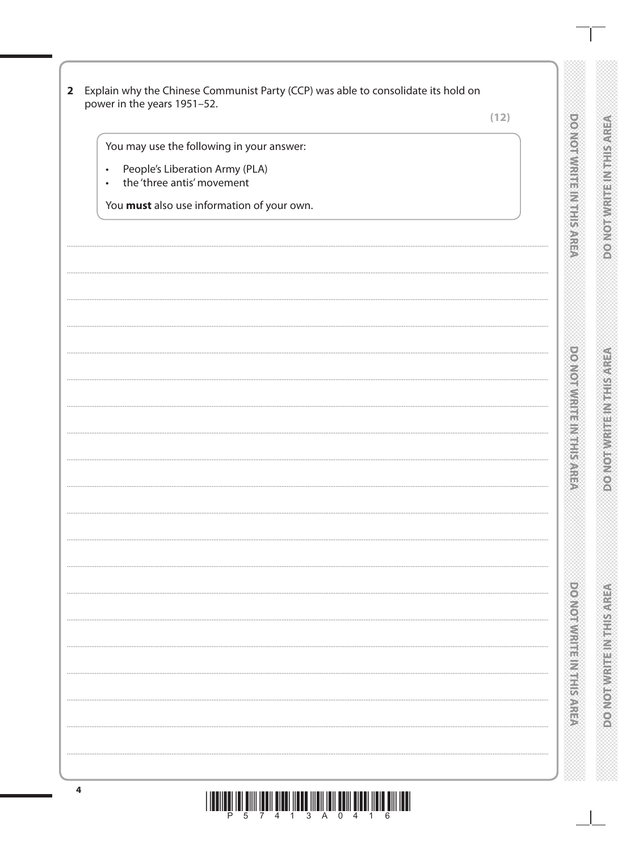| 2 Explain why the Chinese Communist Party (CCP) was able to consolidate its hold on |
|-------------------------------------------------------------------------------------|
| power in the years 1951-52.                                                         |

 $(12)$ 

You may use the following in your answer:

- People's Liberation Army (PLA)<br>the 'three antis' movement  $\ddot{\phantom{0}}$
- $\ddot{\phantom{0}}$

You **must** also use information of your own.

**DOMOTIVISTEINTHIS AREA** 

**DOONORWAYS IN SURFACE** 

**DONOMINISTING** 

**DO NOTWRITEIN IT: ISAREA** 

Ш Ш <u> II ANI INDINI NA MATI MATI ANI ANI</u> 7 4 1 3 A 0 4 1 6 ΪP - 5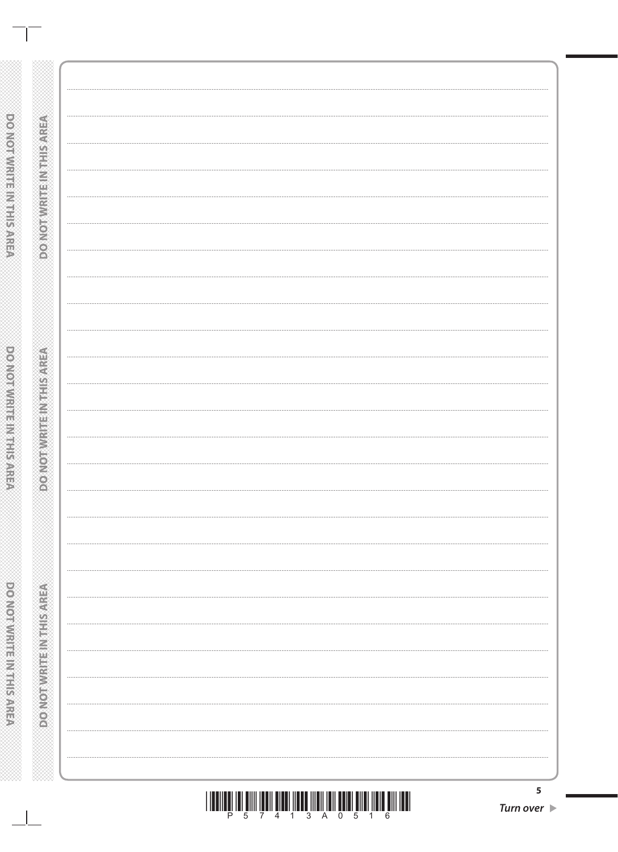| <br> |   |
|------|---|
|      |   |
|      |   |
|      |   |
|      |   |
|      |   |
|      |   |
|      |   |
|      |   |
|      |   |
|      |   |
|      | . |

 $\mathbb{R}$ 

DOOMOTIVIRITEIN/THISAREA

**POONMARTENMENTSREAR** 

**DOMOTIVIRITEINIRINISAREA** 

 $\Box$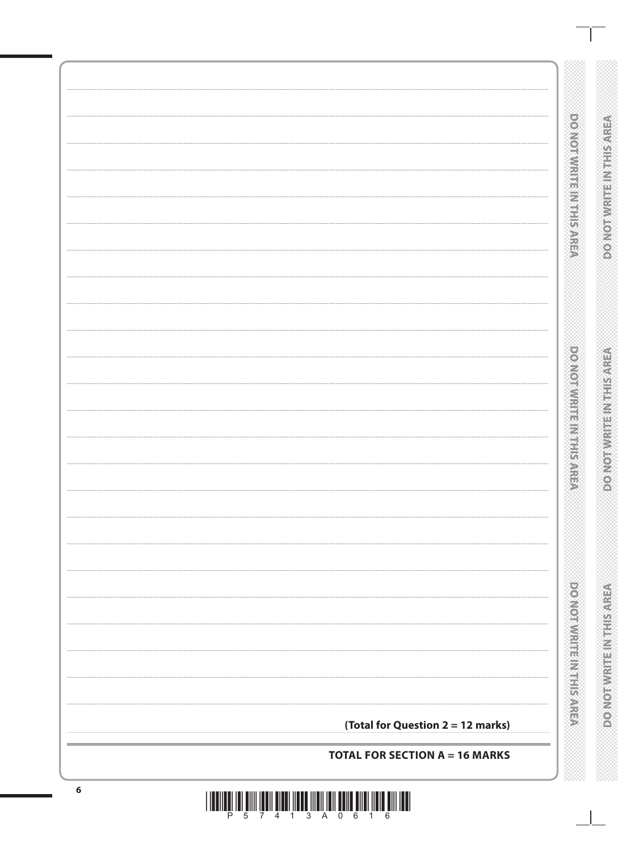**DOMOINMENT FIRST SARE** 

DONOTWRITEINTHISAREA

DO NOTWRITE IN THIS AREA

(Total for Question 2 = 12 marks)

**TOTAL FOR SECTION A = 16 MARKS** 

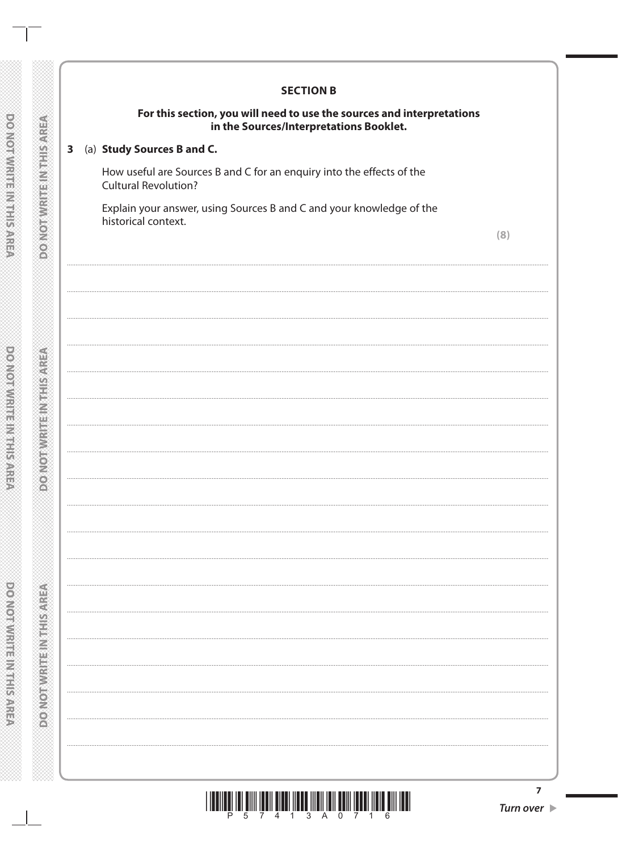| <b>SECTION B</b>                                                                                                                       |             |
|----------------------------------------------------------------------------------------------------------------------------------------|-------------|
| For this section, you will need to use the sources and interpretations<br>in the Sources/Interpretations Booklet.                      |             |
| (a) Study Sources B and C.<br>$\mathbf{3}$                                                                                             |             |
| How useful are Sources B and C for an enquiry into the effects of the<br><b>Cultural Revolution?</b>                                   |             |
| Explain your answer, using Sources B and C and your knowledge of the<br>historical context.                                            |             |
|                                                                                                                                        | (8)         |
|                                                                                                                                        |             |
|                                                                                                                                        |             |
|                                                                                                                                        |             |
|                                                                                                                                        |             |
|                                                                                                                                        |             |
|                                                                                                                                        |             |
|                                                                                                                                        |             |
|                                                                                                                                        |             |
|                                                                                                                                        |             |
|                                                                                                                                        |             |
|                                                                                                                                        |             |
|                                                                                                                                        |             |
|                                                                                                                                        |             |
|                                                                                                                                        |             |
|                                                                                                                                        |             |
|                                                                                                                                        |             |
|                                                                                                                                        |             |
|                                                                                                                                        |             |
|                                                                                                                                        |             |
|                                                                                                                                        |             |
|                                                                                                                                        |             |
|                                                                                                                                        |             |
| <u> I III AN DI DI DI LA BILI DI LA BILI DI LA BILI DI LA BILI DI LA BILI DI LA BILI DI LA BILI DI LA BILI DI LA B</u><br>$\mathbf{0}$ | Turn over 1 |

DO NOTWRITE INTHISAREA

**DO NOT WRITE IN THIS AREA** 

a ka

DO NOTWAITEINTHIS AREA

**DOMOTWRITE IN THIS AREA** 

**DO NOTWRITEINIS RISPREA** 

**DO NOT WRITE IN THIS AREA**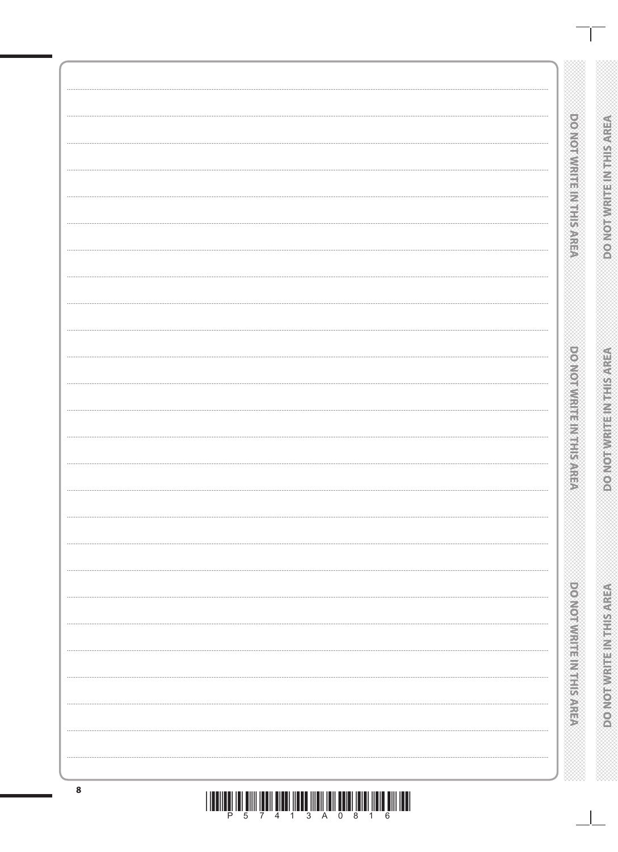| <u>i ina ilay kaominina mpikambana amin'ny faritr'i Nord-Amerika (no ben'ny fari</u> |  |  |  |                       |  |  |  |
|--------------------------------------------------------------------------------------|--|--|--|-----------------------|--|--|--|
|                                                                                      |  |  |  | P 5 7 4 1 3 A 0 8 1 6 |  |  |  |

| <b>PONOINT ENTERTAINMENT</b> |
|------------------------------|
|                              |
|                              |
|                              |
|                              |
|                              |
|                              |
|                              |
|                              |
|                              |
|                              |
|                              |
|                              |
|                              |
|                              |
|                              |
| <b>PONDORM PROTECTION</b>    |
|                              |
|                              |
|                              |
|                              |
|                              |
|                              |
|                              |
| 寓                            |
|                              |
|                              |
|                              |
|                              |
|                              |
|                              |
| .                            |
|                              |
|                              |
|                              |
|                              |
|                              |
|                              |
|                              |
| <b>DOMOTOMRED MEETINGS</b>   |
| .                            |
|                              |
|                              |
|                              |
|                              |
|                              |
|                              |

Ξ

**DONOT WRITEINTHIS AREA** 

**PONOTWATE INTHIS AREA** 

**PONOTWRITEIN THIS AREA**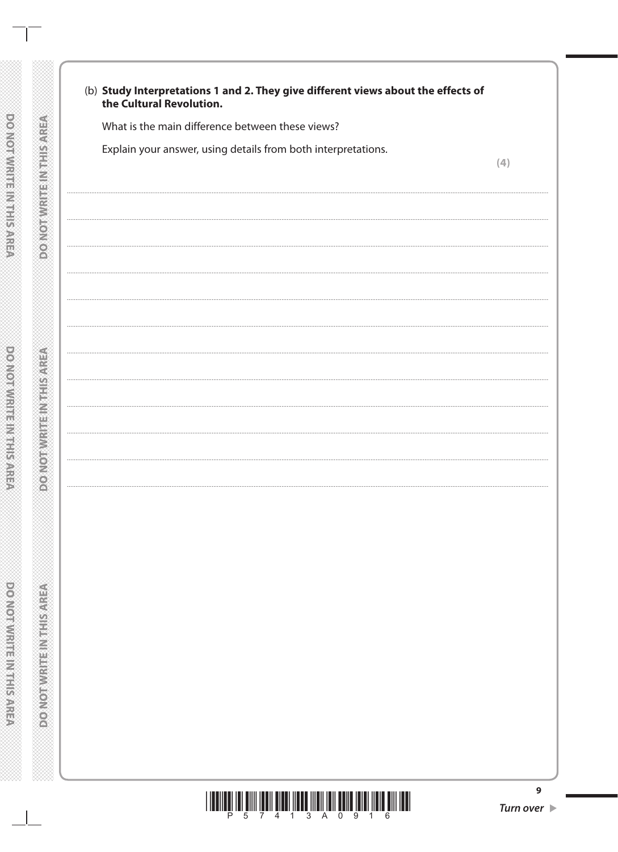| the Cultural Revolution.<br>What is the main difference between these views? |     |
|------------------------------------------------------------------------------|-----|
| Explain your answer, using details from both interpretations.                | (4) |
|                                                                              |     |
|                                                                              |     |
|                                                                              |     |
|                                                                              |     |
|                                                                              |     |
|                                                                              |     |
|                                                                              |     |
|                                                                              |     |
|                                                                              |     |
|                                                                              |     |
|                                                                              |     |
|                                                                              |     |
|                                                                              |     |
|                                                                              |     |
|                                                                              |     |
|                                                                              |     |
|                                                                              |     |
|                                                                              |     |
|                                                                              |     |
|                                                                              |     |
|                                                                              |     |

 $\mathbf{I}$ 

DO NOT WRITEIN RISKER

⋙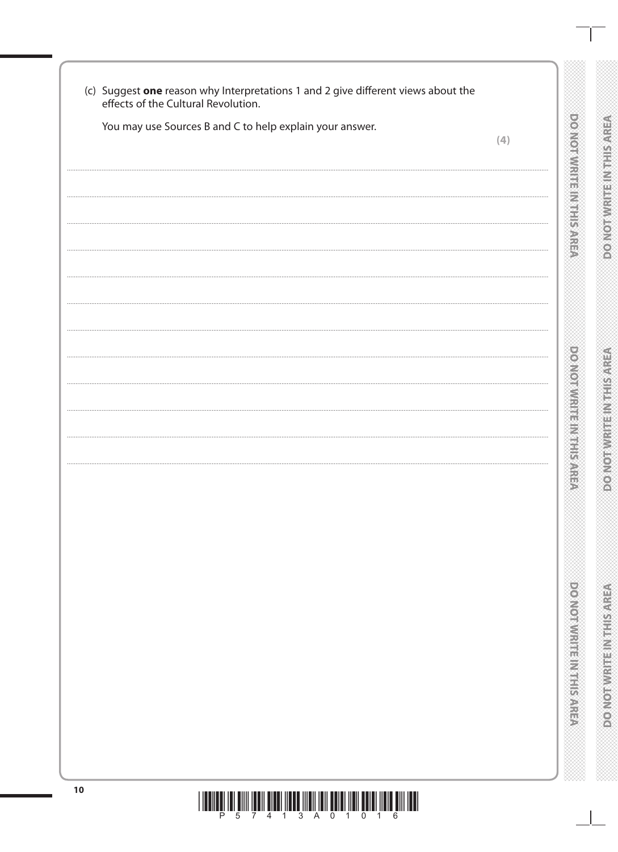| (c) Suggest <b>one</b> reason why Interpretations 1 and 2 give different views about the effects of the Cultural Revolution.<br>You may use Sources B and C to help explain your answer. |     |                                        |
|------------------------------------------------------------------------------------------------------------------------------------------------------------------------------------------|-----|----------------------------------------|
|                                                                                                                                                                                          | (4) | <b>DONORMAN HENDRICKS</b>              |
|                                                                                                                                                                                          |     |                                        |
|                                                                                                                                                                                          |     |                                        |
|                                                                                                                                                                                          |     |                                        |
|                                                                                                                                                                                          |     |                                        |
|                                                                                                                                                                                          |     |                                        |
|                                                                                                                                                                                          |     |                                        |
|                                                                                                                                                                                          |     | <b>POSTER AND RESERVE AND RESPONSE</b> |
|                                                                                                                                                                                          |     |                                        |
|                                                                                                                                                                                          |     | Š                                      |
|                                                                                                                                                                                          |     |                                        |
|                                                                                                                                                                                          |     |                                        |
|                                                                                                                                                                                          |     |                                        |
|                                                                                                                                                                                          |     |                                        |
|                                                                                                                                                                                          |     |                                        |
|                                                                                                                                                                                          |     |                                        |
|                                                                                                                                                                                          |     | <b>DOMOTOM/REFLIGHT SARRA</b>          |
|                                                                                                                                                                                          |     |                                        |
|                                                                                                                                                                                          |     |                                        |
| 10<br><u> MINI QIN MILL</u><br>║║<br>IIIII<br>Ш                                                                                                                                          |     |                                        |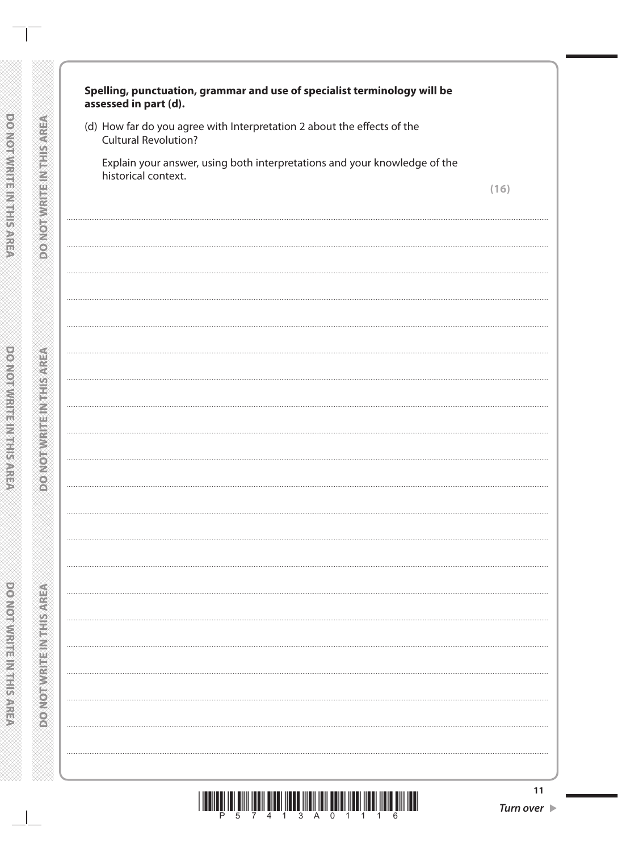| <b>Cultural Revolution?</b> | (d) How far do you agree with Interpretation 2 about the effects of the   |      |
|-----------------------------|---------------------------------------------------------------------------|------|
| historical context.         | Explain your answer, using both interpretations and your knowledge of the |      |
|                             |                                                                           | (16) |
|                             |                                                                           |      |
|                             |                                                                           |      |
|                             |                                                                           |      |
|                             |                                                                           |      |
|                             |                                                                           |      |
|                             |                                                                           |      |
|                             |                                                                           |      |
|                             |                                                                           |      |
|                             |                                                                           |      |
|                             |                                                                           |      |
|                             |                                                                           |      |
|                             |                                                                           |      |
|                             |                                                                           |      |
|                             |                                                                           |      |
|                             |                                                                           |      |
|                             |                                                                           |      |
|                             |                                                                           |      |
|                             |                                                                           |      |
|                             |                                                                           |      |

 $\blacksquare$ 

**DOMOTIVIRITE IN THIS AREA** 

**DOWNWHITEINIANSWER** 

DOOMOTIVIEINTELASTER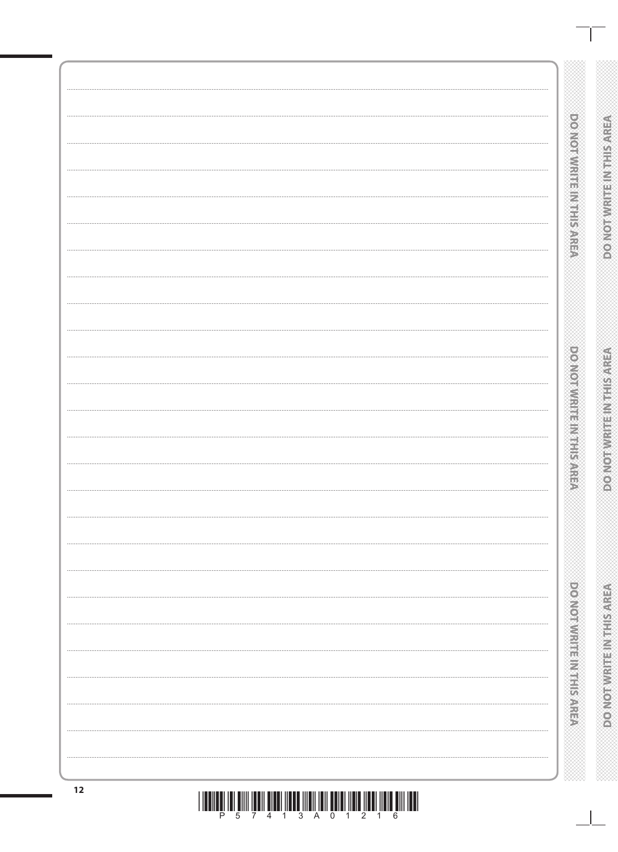| <b>DOMORWISH SHARR SARE</b><br><b>PONORMAN EXPERIENCE</b><br><b>DOCTOROMETRIC PRESSURE</b> | 12 | <u> III DI LIHINI III DI LIHINI DI LIHINI DI LIHINI DI LIHINI DI L</u><br>IIII<br>P<br>5<br>3<br>$\overline{A}$<br>$\,0\,$<br>6 |                                  |
|--------------------------------------------------------------------------------------------|----|---------------------------------------------------------------------------------------------------------------------------------|----------------------------------|
|                                                                                            |    |                                                                                                                                 | <b>RESILED MARKET PRODUCT</b>    |
|                                                                                            |    |                                                                                                                                 |                                  |
|                                                                                            |    |                                                                                                                                 | <b>RESING HANDER MANDING NO.</b> |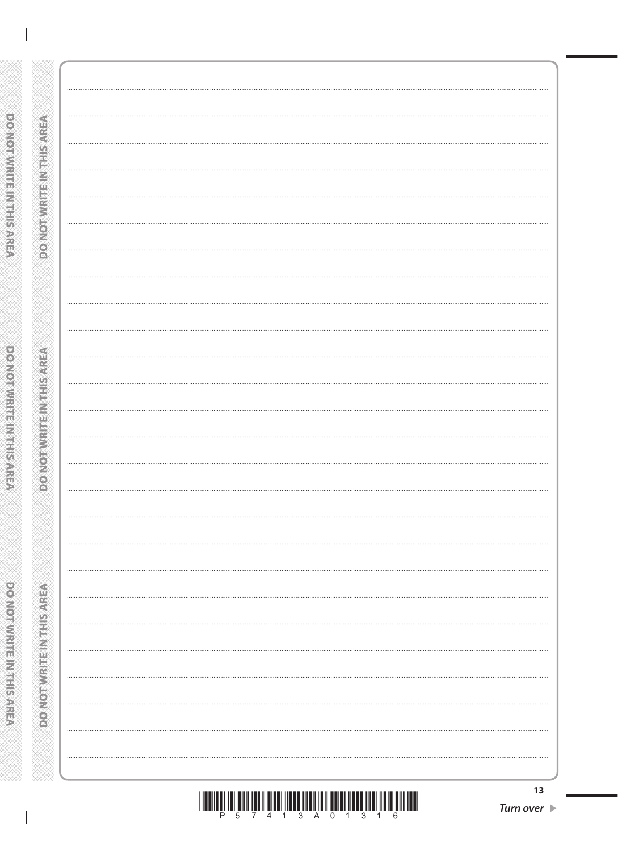| <b>DOINOT WRITE INSTITUS AREA</b>    | Ú.<br>m<br>Š<br>$\frac{1}{2}$     | <br> |
|--------------------------------------|-----------------------------------|------|
| <b>BUT AN EXECUTIVE STATE</b><br>医皮质 |                                   |      |
| <b>DOMORAMENT RESERVE</b>            | <b>ECRES</b><br><b>DOSNOSTING</b> |      |

a ka

 $\perp$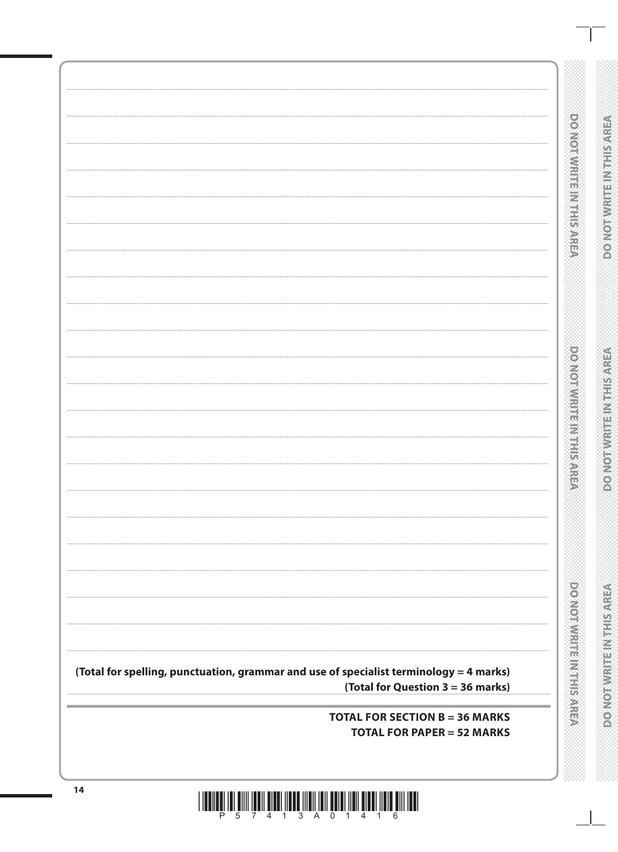| S                        |  |        |   |  |
|--------------------------|--|--------|---|--|
| ï                        |  |        |   |  |
|                          |  |        | 1 |  |
|                          |  |        |   |  |
| ı                        |  |        |   |  |
| $\ddot{\phantom{a}}$     |  | l<br>I |   |  |
|                          |  |        |   |  |
|                          |  |        |   |  |
|                          |  | j      |   |  |
|                          |  |        |   |  |
| i<br>S                   |  | i      |   |  |
|                          |  |        |   |  |
|                          |  |        |   |  |
|                          |  |        |   |  |
|                          |  |        |   |  |
|                          |  | ì      |   |  |
|                          |  |        |   |  |
|                          |  | ì      |   |  |
|                          |  |        |   |  |
|                          |  | J      |   |  |
|                          |  |        |   |  |
|                          |  |        |   |  |
|                          |  |        |   |  |
|                          |  |        |   |  |
|                          |  | j      |   |  |
|                          |  |        |   |  |
|                          |  | İ      |   |  |
| $\overline{\phantom{a}}$ |  |        |   |  |
|                          |  | I      |   |  |
| į                        |  |        |   |  |
|                          |  | I      |   |  |
|                          |  |        |   |  |
| .<br>.<br>.              |  | ۱      |   |  |
|                          |  |        |   |  |
|                          |  | ĺ      |   |  |
|                          |  |        |   |  |
| $\ddot{\phantom{a}}$     |  | j      |   |  |
|                          |  | ł      |   |  |
|                          |  |        |   |  |
| $\overline{\phantom{a}}$ |  | j      |   |  |
|                          |  |        |   |  |
| ì                        |  |        |   |  |
|                          |  |        |   |  |
| $\overline{\phantom{a}}$ |  |        |   |  |
|                          |  | ĺ      |   |  |
|                          |  |        |   |  |
|                          |  | ١      |   |  |
|                          |  |        |   |  |
|                          |  |        |   |  |
|                          |  |        |   |  |
|                          |  |        |   |  |
|                          |  | l      |   |  |
| i.                       |  |        |   |  |
|                          |  |        |   |  |
| ,,,,,,,                  |  |        |   |  |
|                          |  |        |   |  |
|                          |  |        |   |  |
| ì                        |  |        |   |  |
|                          |  |        |   |  |
| ś                        |  |        |   |  |
|                          |  |        |   |  |

**DOMORWARE IN THE WARD** 

**DONOTWRITING SARE** 

**DONOTWIRES MILLION OF** 

(Total for spelling, punctuation, grammar and use of specialist terminology = 4 marks) (Total for Question 3 = 36 marks)

> **TOTAL FOR SECTION B = 36 MARKS TOTAL FOR PAPER = 52 MARKS**

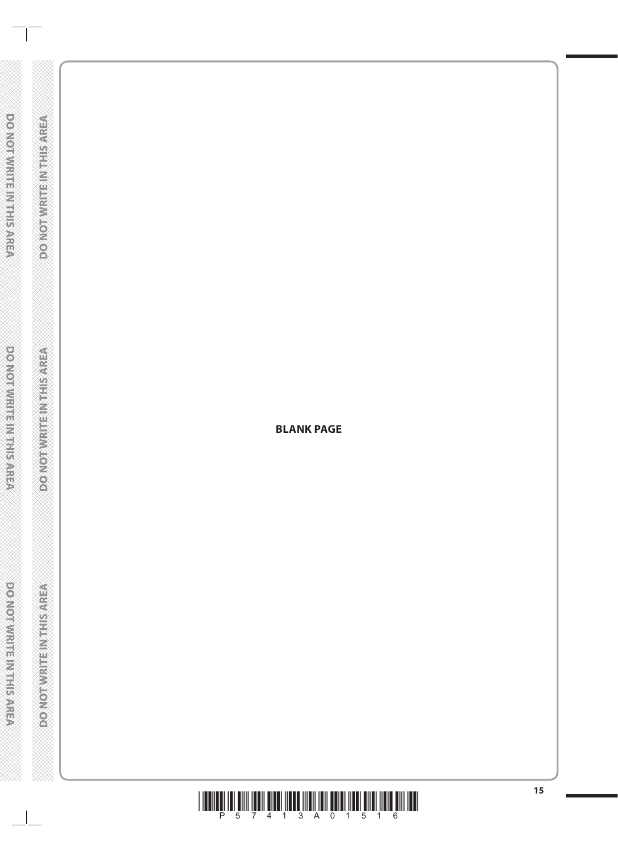$\mathbb{R}$ 

**DO NOTWARE INTHIS AREA** 

**DO NOTAVALE INTERVERS** 

DO NOT WRITE IN THIS AREA

**BLANK PAGE**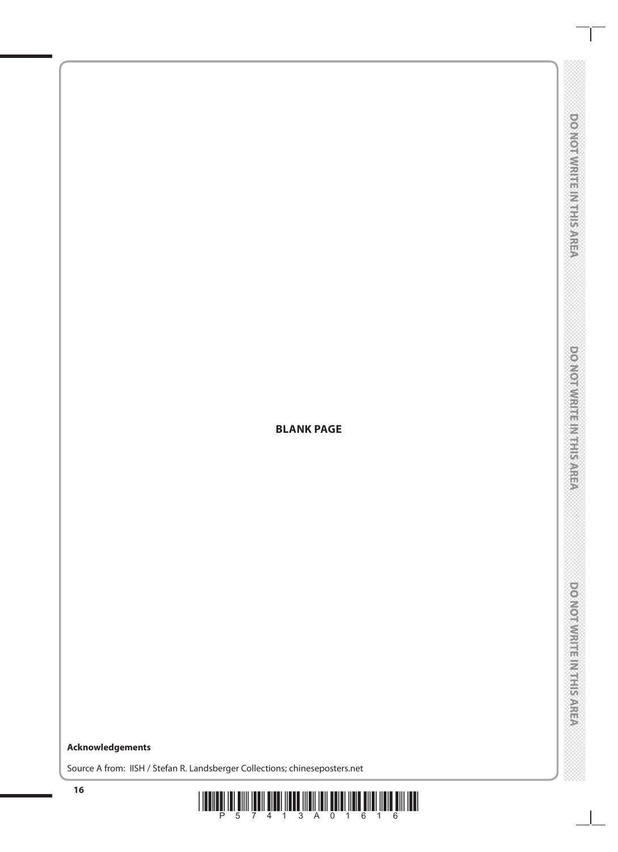**BLANK PAGE**

**Acknowledgements**

Source A from: IISH / Stefan R. Landsberger Collections; chineseposters.net

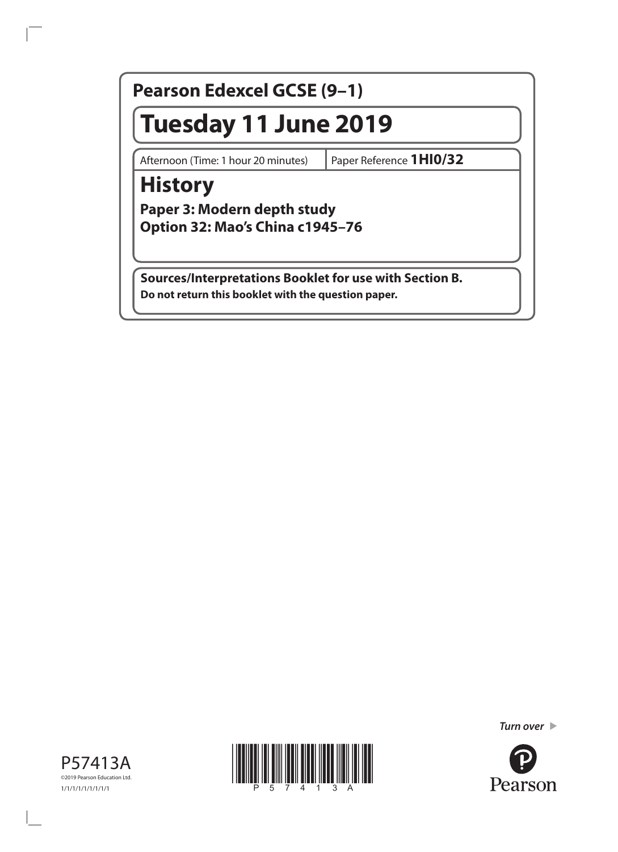# **Pearson Edexcel GCSE (9–1)**

# **Tuesday 11 June 2019**

Afternoon (Time: 1 hour 20 minutes) Paper Reference **1HI0/32**

# **History**

**Paper 3: Modern depth study Option 32: Mao's China c1945–76**

**Sources/Interpretations Booklet for use with Section B. Do not return this booklet with the question paper.**







*Turn over*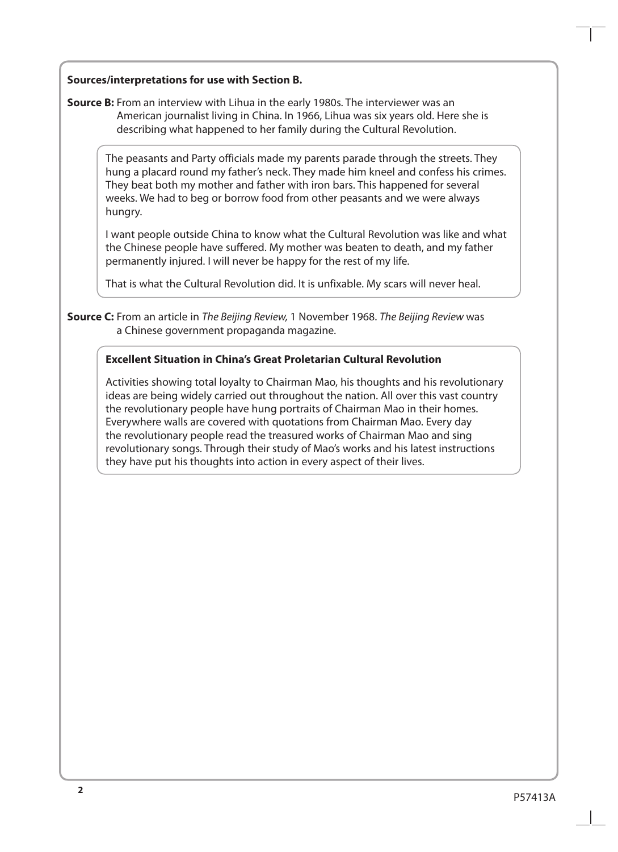#### **Sources/interpretations for use with Section B.**

**Source B:** From an interview with Lihua in the early 1980s. The interviewer was an American journalist living in China. In 1966, Lihua was six years old. Here she is describing what happened to her family during the Cultural Revolution.

The peasants and Party officials made my parents parade through the streets. They hung a placard round my father's neck. They made him kneel and confess his crimes. They beat both my mother and father with iron bars. This happened for several weeks. We had to beg or borrow food from other peasants and we were always hungry.

I want people outside China to know what the Cultural Revolution was like and what the Chinese people have suffered. My mother was beaten to death, and my father permanently injured. I will never be happy for the rest of my life.

That is what the Cultural Revolution did. It is unfixable. My scars will never heal.

**Source C:** From an article in *The Beijing Review,* 1 November 1968. *The Beijing Review* was a Chinese government propaganda magazine.

### **Excellent Situation in China's Great Proletarian Cultural Revolution**

Activities showing total loyalty to Chairman Mao, his thoughts and his revolutionary ideas are being widely carried out throughout the nation. All over this vast country the revolutionary people have hung portraits of Chairman Mao in their homes. Everywhere walls are covered with quotations from Chairman Mao. Every day the revolutionary people read the treasured works of Chairman Mao and sing revolutionary songs. Through their study of Mao's works and his latest instructions they have put his thoughts into action in every aspect of their lives.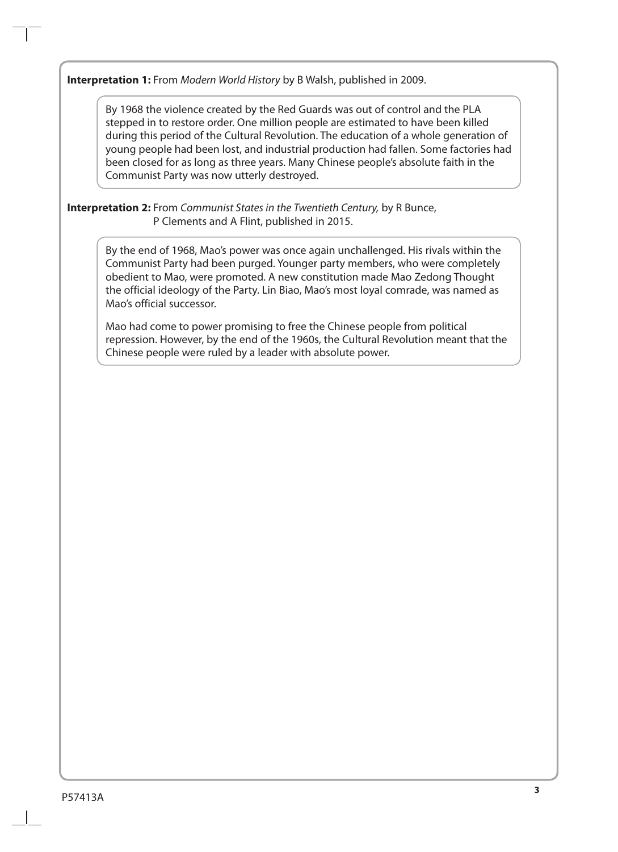**Interpretation 1:** From *Modern World History* by B Walsh, published in 2009.

By 1968 the violence created by the Red Guards was out of control and the PLA stepped in to restore order. One million people are estimated to have been killed during this period of the Cultural Revolution. The education of a whole generation of young people had been lost, and industrial production had fallen. Some factories had been closed for as long as three years. Many Chinese people's absolute faith in the Communist Party was now utterly destroyed.

**Interpretation 2:** From *Communist States in the Twentieth Century,* by R Bunce, P Clements and A Flint, published in 2015.

> By the end of 1968, Mao's power was once again unchallenged. His rivals within the Communist Party had been purged. Younger party members, who were completely obedient to Mao, were promoted. A new constitution made Mao Zedong Thought the official ideology of the Party. Lin Biao, Mao's most loyal comrade, was named as Mao's official successor.

Mao had come to power promising to free the Chinese people from political repression. However, by the end of the 1960s, the Cultural Revolution meant that the Chinese people were ruled by a leader with absolute power.